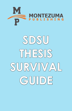

# **SDSU THESIS SURVIVAL GUIDE**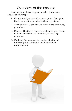# Overview of the Process

Clearing your thesis requirement for graduation consists of four steps:

- 1. Committee Approval: Receive approval from your thesis committee and obtain their signatures
- 2. Format: Format your thesis to meet the university guidelines
- 3. Review: The thesis reviewer will check your thesis to ensure it meets the university formatting guidelines
- 4. Publish: The payment for, and production of, university requirements, and department requirements

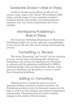#### Graduate Division's Role in Thesis

Graduate Studies keeps official records of your student name, degree title, Thesis 799 enrollment, IRB status, and the names of your committee members. Graduate Studies also handles your final graduation clearance once your thesis requirements have been satisfied.

#### Montezuma Publishing's Role in Thesis

The Graduate Publishing Department at Montezuma Publishing handles the review, approval, and publishing of your thesis. We also offer thesis editing and formatting services.

#### Formatting vs. Review

The terms "formatting" and "review" can be confusing as many use the terms interchangeably. Simply put, formatting is the process of organizing your document to conform with the guidelines established by SDSU's Graduate Studies and your department. Review, is the process of checking your document to ensure it meets these formatting guidelines.

### Editing vs. Formatting

Editing involves reading the thesis to correct improper spelling, grammar, sentence structure, etc. Formatting pertains to how the document appears on the page as well as in-text citations and reference department requirements. Formatting does not involve making changes to the content of the document.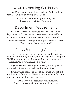# SDSU Formatting Guidelines

See Montezuma Publishing's website for formatting details, samples, and templates. Go to:

> https://www.montezumapublishing.com/ thesisanddissertation/formatting

# Department Requirements

See Montezuma Publishing's website for a list of department information, degrees offered, acceptable text formats, style guides, and copy requirements. Go to:

https://www.montezumapublishing.com/portals/0/docs/ Department\_Requirements.pdf

# Thesis Formatting Options

There are two options to consider when formatting your thesis. You may format your thesis yourself using the SDSU template, formatting guidelines, and department requirements, or you can hire a formatter.

If you decide to format your thesis yourself, please allow at least two weeks to learn the guidelines.

You may also choose to hire Montezuma Publishing or a freelance formatter. Please visit our website for more information regarding those services.

> https://www.montezumapublishing.com/ thesisanddissertation/montezumaformatting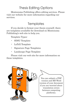# Thesis Editing Options

Montezuma Publishing offers editing services. Please visit our website for more information regarding our services.

#### **Templates**

If you decide to format your thesis yourself, there are templates available for download on Montezuma Publishing's web site to help you.

Template Types:

- SDSU Template
- LaTeX Template
- Signature Page Templates
- Landscape Page Template

Please visit our web site for more information on these templates.



You can submit a PDF version and MS Word version of your document if you are worried about translation errors between computing platforms.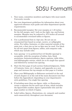# SDSU Formatti

- 1. Your name, committee members and degree title must match University records.
- 2. See your department guidelines for information about your approved reference style guide and other department-specific requirements.
- 3. Recommended margins: Set your margins at 1.25 inches for the left margin, and 1 inch on the right, top, and bottom margins. Margins may be reduced to .875 inches all around to accommodate oversized tables or figures.
- 4. Use a professional font in 12pt size. Do not use an ornamental font based on script, cursive, or calligraphic styles. For tables, footnotes, or other material outside of the main text, a font size as low as 8pts may be used. Use black for all text apart from figures, tables, and computer code, which may include color.
- 5. Line spacing: 1.5 is preferred but 2.0 (double-spacing) is acceptable, with the exception of tables, lists, block quotations, footnotes/endnotes, figure captions, table titles, and bibliographic entries, which are to be single-line spaced and followed by normal text spacing.
- 6. Start the first page of each section (Acknowledgments, Table of Contents, Lists, etc.), chapter, and appendix on a new page and increase the top margin on that page to 2 inches.
- 7. Place your Bibliography or Reference section(s) at the end of each chapter or at the end of the main document text (but before the Appendices), depending on your department's style guidelines. Use single-line spacing.
- 8. If including more than one figure, table, or illustration, create a separate list for each type of item, which includes the figure/table number, figure caption/table title and the page number on which it begins.
- 9. Label tables, figures, illustrations, etc. uniquely and number each consecutively throughout your document.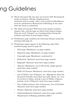# ng Guidelines

- 10. Thesis document file size may not exceed 1GB. Recommend image resolution: 300 dpi. Supplementary materials such as audio, video, and oversized tables/figures must be submitted to Montezuma Publishing at the same time the thesis is submitted.
- 11. The Table of Contents (TOC) lists each chapter number, chapter title, and the page on which each chapter begins. Type the word "Chapter" as a heading before listing the numbers and titles of each chapter below.
- 12. Preliminary page numbers are lowercase Roman numerals, starting with page iii.
- 13. Preliminary pages appear in the following order (first numbered page must be page iii):
	- Title page: Mandatory; no page number
	- Signature page: Mandatory; no page number
	- Copyright page: Mandatory; numbered iii
	- Dedication: Optional; must have page number
	- Epigraph: Optional; must have page number
	- Abstract: Mandatory; up to 350 words, single-spaced; must have page number
	- Table of Contents: Mandatory; must have page number
	- List of Tables, List of Figures, etc.: Mandatory when the document includes more than one table, figure, etc. (e.g., if you have 2 tables, include a List of Tables; 2 figures, include a List of Figures); must have page number.
	- List of Abbreviations, List of Acronyms, List of Symbols: Optional; must have page number
	- Preface: Optional; must have page number
	- Acknowledgments: Optional; must have page number (Department of Biology guidelines differ)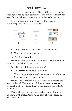#### Thesis Review

Once you have enrolled in Thesis 799, your thesis has been approved by your committee, and your document has been formatted, you are ready for review submission.

In order to submit your thesis to Montezuma Publishing for review you will need:



- 1. A digital copy of your thesis (Word or PDF)
- 2. Your signed signature page
- 3. The \$50 review fee

Your digital copy must be submitted electronically via email at: thesis@aztecmail.com.

Your thesis will be reviewed using:

- The SDSU formatting guidelines
- The style guide you used to format your references (this will vary by department)

You will be contacted via email once your thesis has been reviewed. The amount of time it takes to receive feedback will vary depending on the number of students ahead of you.

If your thesis does not pass review, we will send you an email with instructions and a copy of your document with comments.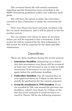The reviewed thesis file will contain comments regarding specific formatting errors according to the SDSU formatting guidelines and/or your reference style guide.

You will have the option to make the corrections yourself or hire a formatter to make the corrections for you.

Once your thesis has been corrected, resubmit your file via email attachment, and it will be placed in line for another review.

You can submit your thesis as many as six times before you will be required to hire a formatter. A \$50 review fee will be required for the first submission. A \$25 review fee will be required for the third and fifth submissions.

#### Deadlines

There are three deadlines during the review process:

- 1. **Submission Deadline:** Submitting on or before this date guarantees your thesis will be reviewed at least once and returned to you in time to make corrections (if necessary) so you may submit it again before the publication deadline.
- 2. **Publication Deadline:** Pay all required fees on your approved thesis by 3:45pm on this date to qualify for graduation for the current semester.
- 3. **Avoid Re-enrollment in 799B Deadline:** If you are enrolled in 799, and missed the previous two deadlines, submit your thesis by 3:45pm on the last day of the semester to avoid having to reenroll in Thesis 799 for the following semester.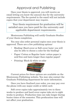# Approval and Publishing

Once your thesis is approved, you will receive an email letting you know the amount due for the university requirements. The fee quoted in the email will not include copies that your department may require.

Your thesis requirement for graduation will be satisfied once you have paid for the university and applicable department requirements.

Montezuma Publishing will notify Graduate Studies of your thesis completion.

You may also order personal copies once your thesis is approved. There are a few publishing options:

- Binding: Hard cover or Soft cover (note: you will also be able to choose a color for the binding)
- Paper: Cotton or Regular (note: cotton paper is acid-free and lasts longer than regular paper)
- Printing: Black & white or color



Current prices for these options are available on the Montezuma Publishing website. You may also contact the Graduate Publishing department for more information.

Once you have finalized your order, you may pay over the phone with any major credit or debit card.

Soft cover copies take approximately two to three weeks to produce and hard cover copies take six to eight weeks to produce. Production time can take longer during busier times of the semester. This producation time will not affect your graduation.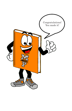